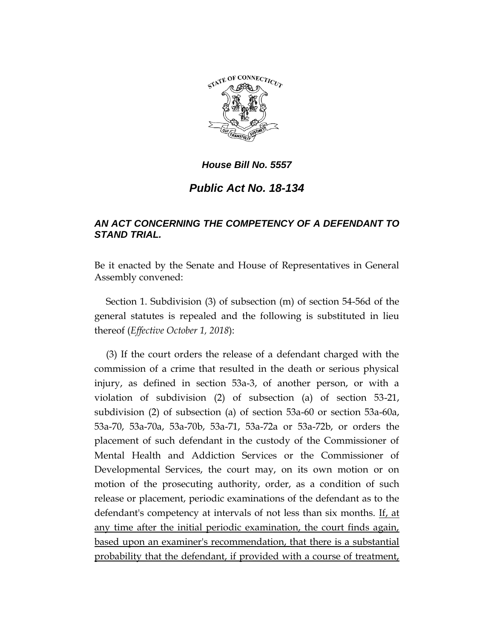

## *House Bill No. 5557*

## *Public Act No. 18-134*

## *AN ACT CONCERNING THE COMPETENCY OF A DEFENDANT TO STAND TRIAL.*

Be it enacted by the Senate and House of Representatives in General Assembly convened:

Section 1. Subdivision (3) of subsection (m) of section 54-56d of the general statutes is repealed and the following is substituted in lieu thereof (*Effective October 1, 2018*):

(3) If the court orders the release of a defendant charged with the commission of a crime that resulted in the death or serious physical injury, as defined in section 53a-3, of another person, or with a violation of subdivision (2) of subsection (a) of section 53-21, subdivision (2) of subsection (a) of section 53a-60 or section 53a-60a, 53a-70, 53a-70a, 53a-70b, 53a-71, 53a-72a or 53a-72b, or orders the placement of such defendant in the custody of the Commissioner of Mental Health and Addiction Services or the Commissioner of Developmental Services, the court may, on its own motion or on motion of the prosecuting authority, order, as a condition of such release or placement, periodic examinations of the defendant as to the defendant's competency at intervals of not less than six months. If, at any time after the initial periodic examination, the court finds again, based upon an examiner's recommendation, that there is a substantial probability that the defendant, if provided with a course of treatment,